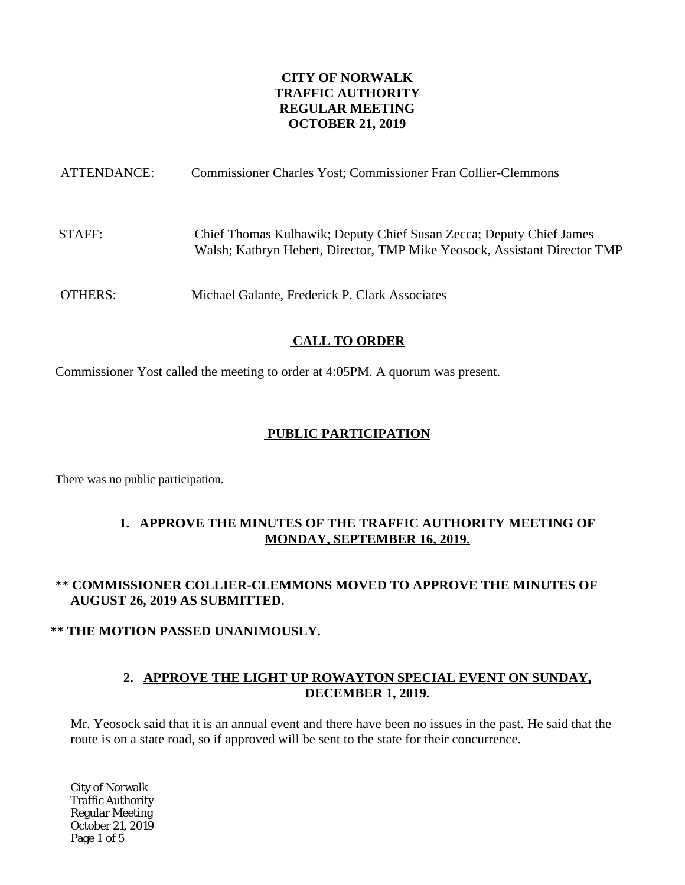### **CITY OF NORWALK TRAFFIC AUTHORITY REGULAR MEETING OCTOBER 21, 2019**

| ATTENDANCE: | Commissioner Charles Yost; Commissioner Fran Collier-Clemmons                                                                                    |
|-------------|--------------------------------------------------------------------------------------------------------------------------------------------------|
| STAFF:      | Chief Thomas Kulhawik; Deputy Chief Susan Zecca; Deputy Chief James<br>Walsh; Kathryn Hebert, Director, TMP Mike Yeosock, Assistant Director TMP |
| OTHERS:     | Michael Galante, Frederick P. Clark Associates                                                                                                   |

# **CALL TO ORDER**

Commissioner Yost called the meeting to order at 4:05PM. A quorum was present.

## **PUBLIC PARTICIPATION**

There was no public participation.

### **1. APPROVE THE MINUTES OF THE TRAFFIC AUTHORITY MEETING OF MONDAY, SEPTEMBER 16, 2019.**

### \*\* **COMMISSIONER COLLIER-CLEMMONS MOVED TO APPROVE THE MINUTES OF AUGUST 26, 2019 AS SUBMITTED.**

#### **\*\* THE MOTION PASSED UNANIMOUSLY.**

#### **2. APPROVE THE LIGHT UP ROWAYTON SPECIAL EVENT ON SUNDAY, DECEMBER 1, 2019.**

Mr. Yeosock said that it is an annual event and there have been no issues in the past. He said that the route is on a state road, so if approved will be sent to the state for their concurrence.

City of Norwalk Traffic Authority Regular Meeting October 21, 2019 Page 1 of 5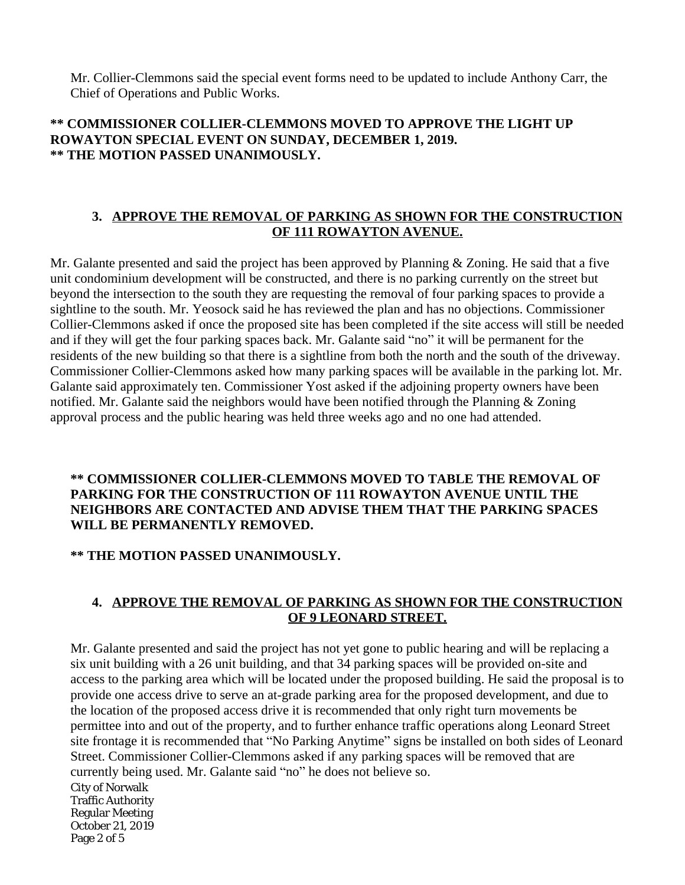Mr. Collier-Clemmons said the special event forms need to be updated to include Anthony Carr, the Chief of Operations and Public Works.

## **\*\* COMMISSIONER COLLIER-CLEMMONS MOVED TO APPROVE THE LIGHT UP ROWAYTON SPECIAL EVENT ON SUNDAY, DECEMBER 1, 2019. \*\* THE MOTION PASSED UNANIMOUSLY.**

### **3. APPROVE THE REMOVAL OF PARKING AS SHOWN FOR THE CONSTRUCTION OF 111 ROWAYTON AVENUE.**

Mr. Galante presented and said the project has been approved by Planning & Zoning. He said that a five unit condominium development will be constructed, and there is no parking currently on the street but beyond the intersection to the south they are requesting the removal of four parking spaces to provide a sightline to the south. Mr. Yeosock said he has reviewed the plan and has no objections. Commissioner Collier-Clemmons asked if once the proposed site has been completed if the site access will still be needed and if they will get the four parking spaces back. Mr. Galante said "no" it will be permanent for the residents of the new building so that there is a sightline from both the north and the south of the driveway. Commissioner Collier-Clemmons asked how many parking spaces will be available in the parking lot. Mr. Galante said approximately ten. Commissioner Yost asked if the adjoining property owners have been notified. Mr. Galante said the neighbors would have been notified through the Planning & Zoning approval process and the public hearing was held three weeks ago and no one had attended.

### **\*\* COMMISSIONER COLLIER-CLEMMONS MOVED TO TABLE THE REMOVAL OF PARKING FOR THE CONSTRUCTION OF 111 ROWAYTON AVENUE UNTIL THE NEIGHBORS ARE CONTACTED AND ADVISE THEM THAT THE PARKING SPACES WILL BE PERMANENTLY REMOVED.**

### **\*\* THE MOTION PASSED UNANIMOUSLY.**

### **4. APPROVE THE REMOVAL OF PARKING AS SHOWN FOR THE CONSTRUCTION OF 9 LEONARD STREET.**

Mr. Galante presented and said the project has not yet gone to public hearing and will be replacing a six unit building with a 26 unit building, and that 34 parking spaces will be provided on-site and access to the parking area which will be located under the proposed building. He said the proposal is to provide one access drive to serve an at-grade parking area for the proposed development, and due to the location of the proposed access drive it is recommended that only right turn movements be permittee into and out of the property, and to further enhance traffic operations along Leonard Street site frontage it is recommended that "No Parking Anytime" signs be installed on both sides of Leonard Street. Commissioner Collier-Clemmons asked if any parking spaces will be removed that are currently being used. Mr. Galante said "no" he does not believe so.

City of Norwalk Traffic Authority Regular Meeting October 21, 2019 Page 2 of 5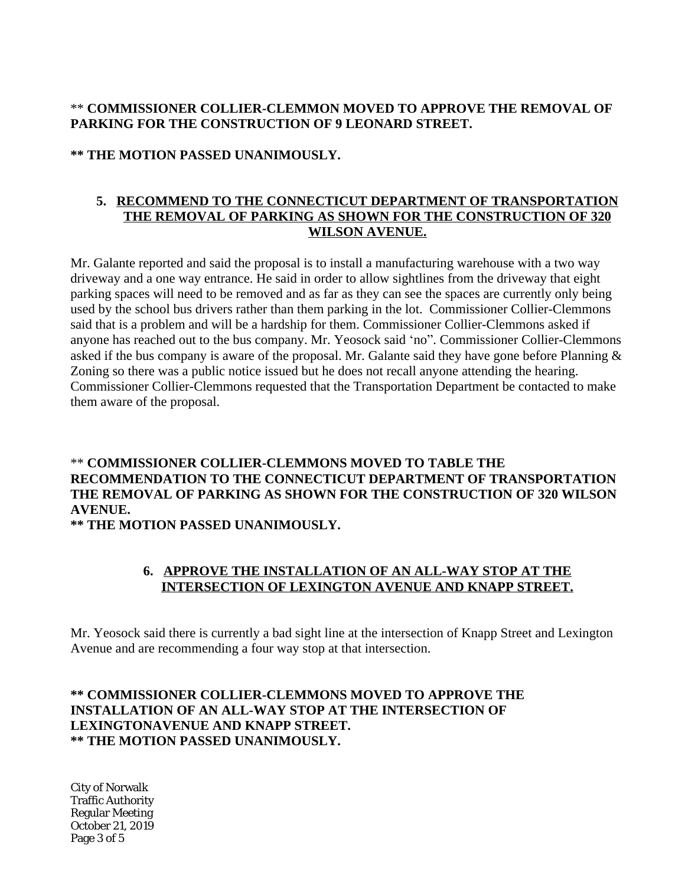### \*\* **COMMISSIONER COLLIER-CLEMMON MOVED TO APPROVE THE REMOVAL OF PARKING FOR THE CONSTRUCTION OF 9 LEONARD STREET.**

#### **\*\* THE MOTION PASSED UNANIMOUSLY.**

#### **5. RECOMMEND TO THE CONNECTICUT DEPARTMENT OF TRANSPORTATION THE REMOVAL OF PARKING AS SHOWN FOR THE CONSTRUCTION OF 320 WILSON AVENUE.**

Mr. Galante reported and said the proposal is to install a manufacturing warehouse with a two way driveway and a one way entrance. He said in order to allow sightlines from the driveway that eight parking spaces will need to be removed and as far as they can see the spaces are currently only being used by the school bus drivers rather than them parking in the lot. Commissioner Collier-Clemmons said that is a problem and will be a hardship for them. Commissioner Collier-Clemmons asked if anyone has reached out to the bus company. Mr. Yeosock said 'no". Commissioner Collier-Clemmons asked if the bus company is aware of the proposal. Mr. Galante said they have gone before Planning  $\&$ Zoning so there was a public notice issued but he does not recall anyone attending the hearing. Commissioner Collier-Clemmons requested that the Transportation Department be contacted to make them aware of the proposal.

# \*\* **COMMISSIONER COLLIER-CLEMMONS MOVED TO TABLE THE RECOMMENDATION TO THE CONNECTICUT DEPARTMENT OF TRANSPORTATION THE REMOVAL OF PARKING AS SHOWN FOR THE CONSTRUCTION OF 320 WILSON AVENUE.**

**\*\* THE MOTION PASSED UNANIMOUSLY.**

### **6. APPROVE THE INSTALLATION OF AN ALL-WAY STOP AT THE INTERSECTION OF LEXINGTON AVENUE AND KNAPP STREET.**

Mr. Yeosock said there is currently a bad sight line at the intersection of Knapp Street and Lexington Avenue and are recommending a four way stop at that intersection.

### **\*\* COMMISSIONER COLLIER-CLEMMONS MOVED TO APPROVE THE INSTALLATION OF AN ALL-WAY STOP AT THE INTERSECTION OF LEXINGTONAVENUE AND KNAPP STREET. \*\* THE MOTION PASSED UNANIMOUSLY.**

City of Norwalk Traffic Authority Regular Meeting October 21, 2019 Page 3 of 5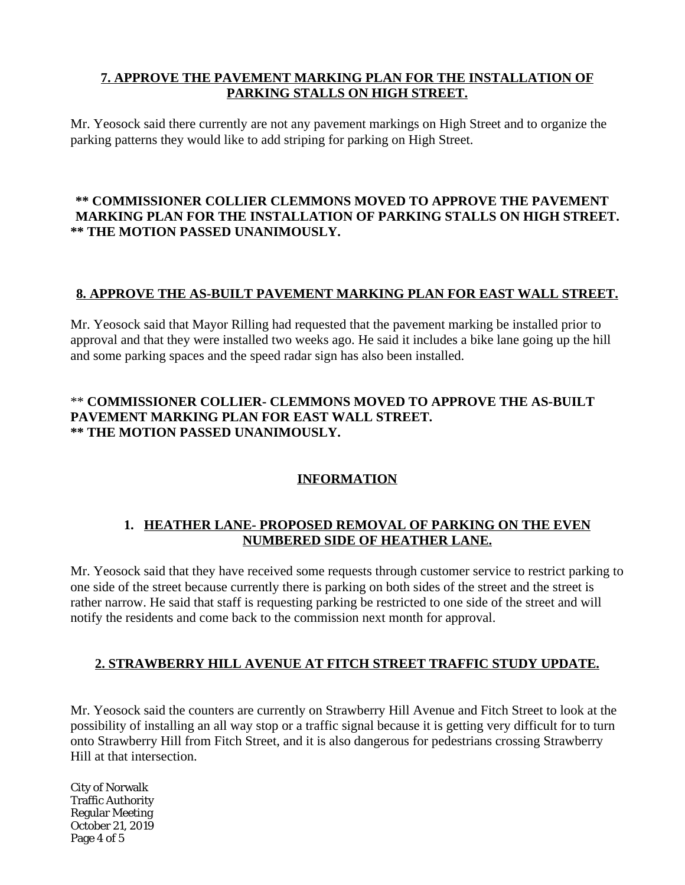## **7. APPROVE THE PAVEMENT MARKING PLAN FOR THE INSTALLATION OF PARKING STALLS ON HIGH STREET.**

Mr. Yeosock said there currently are not any pavement markings on High Street and to organize the parking patterns they would like to add striping for parking on High Street.

### **\*\* COMMISSIONER COLLIER CLEMMONS MOVED TO APPROVE THE PAVEMENT MARKING PLAN FOR THE INSTALLATION OF PARKING STALLS ON HIGH STREET. \*\* THE MOTION PASSED UNANIMOUSLY.**

### **8. APPROVE THE AS-BUILT PAVEMENT MARKING PLAN FOR EAST WALL STREET.**

Mr. Yeosock said that Mayor Rilling had requested that the pavement marking be installed prior to approval and that they were installed two weeks ago. He said it includes a bike lane going up the hill and some parking spaces and the speed radar sign has also been installed.

## \*\* **COMMISSIONER COLLIER- CLEMMONS MOVED TO APPROVE THE AS-BUILT PAVEMENT MARKING PLAN FOR EAST WALL STREET. \*\* THE MOTION PASSED UNANIMOUSLY.**

# **INFORMATION**

### **1. HEATHER LANE- PROPOSED REMOVAL OF PARKING ON THE EVEN NUMBERED SIDE OF HEATHER LANE.**

Mr. Yeosock said that they have received some requests through customer service to restrict parking to one side of the street because currently there is parking on both sides of the street and the street is rather narrow. He said that staff is requesting parking be restricted to one side of the street and will notify the residents and come back to the commission next month for approval.

### **2. STRAWBERRY HILL AVENUE AT FITCH STREET TRAFFIC STUDY UPDATE.**

Mr. Yeosock said the counters are currently on Strawberry Hill Avenue and Fitch Street to look at the possibility of installing an all way stop or a traffic signal because it is getting very difficult for to turn onto Strawberry Hill from Fitch Street, and it is also dangerous for pedestrians crossing Strawberry Hill at that intersection.

City of Norwalk Traffic Authority Regular Meeting October 21, 2019 Page 4 of 5